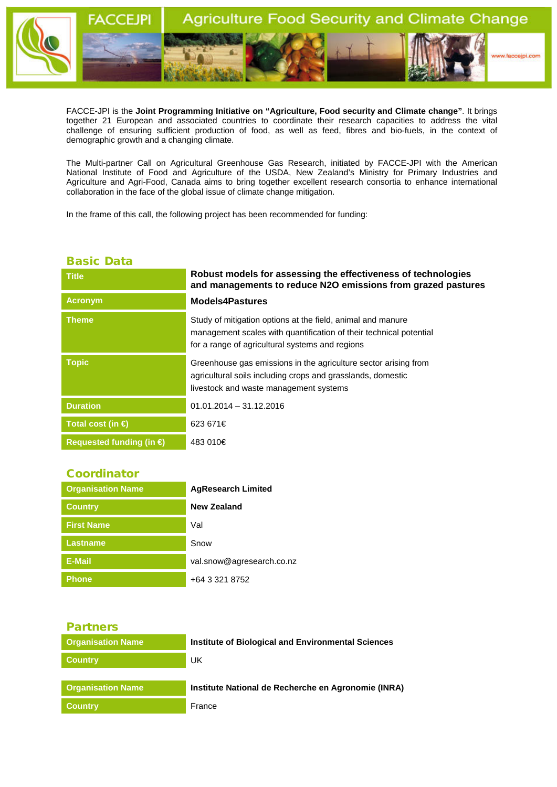

FACCE-JPI is the **Joint Programming Initiative on "Agriculture, Food security and Climate change"**. It brings together 21 European and associated countries to coordinate their research capacities to address the vital challenge of ensuring sufficient production of food, as well as feed, fibres and bio-fuels, in the context of demographic growth and a changing climate.

The Multi-partner Call on Agricultural Greenhouse Gas Research, initiated by FACCE-JPI with the American National Institute of Food and Agriculture of the USDA, New Zealand's Ministry for Primary Industries and Agriculture and Agri-Food, Canada aims to bring together excellent research consortia to enhance international collaboration in the face of the global issue of climate change mitigation.

In the frame of this call, the following project has been recommended for funding:

## Basic Data

| <b>Title</b>                      | Robust models for assessing the effectiveness of technologies<br>and managements to reduce N2O emissions from grazed pastures                                                        |
|-----------------------------------|--------------------------------------------------------------------------------------------------------------------------------------------------------------------------------------|
| <b>Acronym</b>                    | <b>Models4Pastures</b>                                                                                                                                                               |
| <b>Theme</b>                      | Study of mitigation options at the field, animal and manure<br>management scales with quantification of their technical potential<br>for a range of agricultural systems and regions |
| <b>Topic</b>                      | Greenhouse gas emissions in the agriculture sector arising from<br>agricultural soils including crops and grasslands, domestic<br>livestock and waste management systems             |
| <b>Duration</b>                   | $01.01.2014 - 31.12.2016$                                                                                                                                                            |
| Total cost (in $\bigoplus$        | 623 671€                                                                                                                                                                             |
| Requested funding (in $\bigoplus$ | 483 010€                                                                                                                                                                             |

## **Coordinator**

| <b>Organisation Name</b> | <b>AgResearch Limited</b> |
|--------------------------|---------------------------|
| <b>Country</b>           | New Zealand               |
| <b>First Name</b>        | Val                       |
| <b>Lastname</b>          | Snow                      |
| <b>E-Mail</b>            | val.snow@agresearch.co.nz |
| <b>Phone</b>             | +64 3 321 8752            |

## Partners **Organisation Name Institute of Biological and Environmental Sciences Country** UK **Organisation Name Institute National de Recherche en Agronomie (INRA) Country Country France**